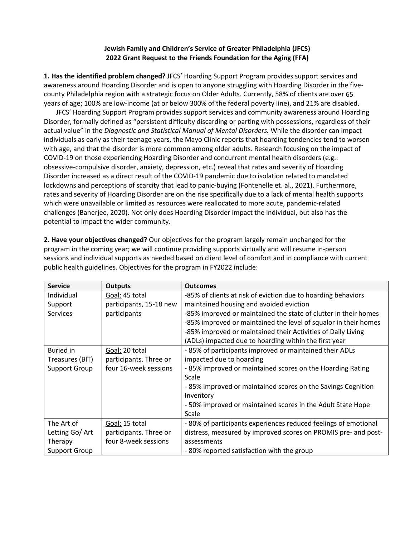## **Jewish Family and Children's Service of Greater Philadelphia (JFCS) 2022 Grant Request to the Friends Foundation for the Aging (FFA)**

**1. Has the identified problem changed?** JFCS' Hoarding Support Program provides support services and awareness around Hoarding Disorder and is open to anyone struggling with Hoarding Disorder in the fivecounty Philadelphia region with a strategic focus on Older Adults. Currently, 58% of clients are over 65 years of age; 100% are low-income (at or below 300% of the federal poverty line), and 21% are disabled.

JFCS' Hoarding Support Program provides support services and community awareness around Hoarding Disorder, formally defined as "persistent difficulty discarding or parting with possessions, regardless of their actual value" in the *Diagnostic and Statistical Manual of Mental Disorders.* While the disorder can impact individuals as early as their teenage years, the Mayo Clinic reports that hoarding tendencies tend to worsen with age, and that the disorder is more common among older adults. Research focusing on the impact of COVID-19 on those experiencing Hoarding Disorder and concurrent mental health disorders (e.g.: obsessive-compulsive disorder, anxiety, depression, etc.) reveal that rates and severity of Hoarding Disorder increased as a direct result of the COVID-19 pandemic due to isolation related to mandated lockdowns and perceptions of scarcity that lead to panic-buying (Fontenelle et. al., 2021). Furthermore, rates and severity of Hoarding Disorder are on the rise specifically due to a lack of mental health supports which were unavailable or limited as resources were reallocated to more acute, pandemic-related challenges (Banerjee, 2020). Not only does Hoarding Disorder impact the individual, but also has the potential to impact the wider community.

**2. Have your objectives changed?** Our objectives for the program largely remain unchanged for the program in the coming year; we will continue providing supports virtually and will resume in-person sessions and individual supports as needed based on client level of comfort and in compliance with current public health guidelines. Objectives for the program in FY2022 include:

| <b>Service</b>       | <b>Outputs</b>          | <b>Outcomes</b>                                                 |  |
|----------------------|-------------------------|-----------------------------------------------------------------|--|
| Individual           | Goal: 45 total          | -85% of clients at risk of eviction due to hoarding behaviors   |  |
| Support              | participants, 15-18 new | maintained housing and avoided eviction                         |  |
| <b>Services</b>      | participants            | -85% improved or maintained the state of clutter in their homes |  |
|                      |                         | -85% improved or maintained the level of squalor in their homes |  |
|                      |                         | -85% improved or maintained their Activities of Daily Living    |  |
|                      |                         | (ADLs) impacted due to hoarding within the first year           |  |
| <b>Buried in</b>     | Goal: 20 total          | -85% of participants improved or maintained their ADLs          |  |
| Treasures (BIT)      | participants. Three or  | impacted due to hoarding                                        |  |
| <b>Support Group</b> | four 16-week sessions   | -85% improved or maintained scores on the Hoarding Rating       |  |
|                      |                         | Scale                                                           |  |
|                      |                         | -85% improved or maintained scores on the Savings Cognition     |  |
|                      |                         | Inventory                                                       |  |
|                      |                         | -50% improved or maintained scores in the Adult State Hope      |  |
|                      |                         | Scale                                                           |  |
| The Art of           | Goal: 15 total          | -80% of participants experiences reduced feelings of emotional  |  |
| Letting Go/ Art      | participants. Three or  | distress, measured by improved scores on PROMIS pre- and post-  |  |
| Therapy              | four 8-week sessions    | assessments                                                     |  |
| <b>Support Group</b> |                         | -80% reported satisfaction with the group                       |  |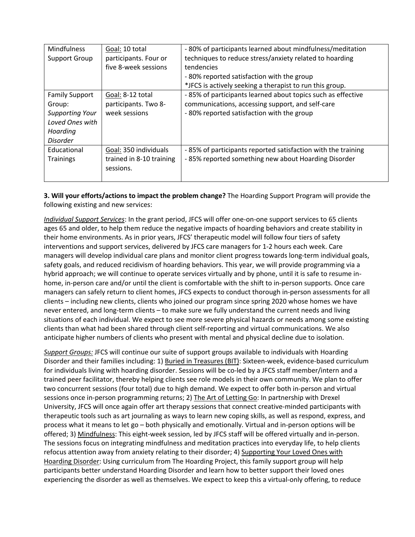| <b>Mindfulness</b>     | Goal: 10 total           | -80% of participants learned about mindfulness/meditation    |  |
|------------------------|--------------------------|--------------------------------------------------------------|--|
| Support Group          | participants. Four or    | techniques to reduce stress/anxiety related to hoarding      |  |
|                        | five 8-week sessions     | tendencies                                                   |  |
|                        |                          | -80% reported satisfaction with the group                    |  |
|                        |                          | *JFCS is actively seeking a therapist to run this group.     |  |
| <b>Family Support</b>  | Goal: 8-12 total         | -85% of participants learned about topics such as effective  |  |
| Group:                 | participants. Two 8-     | communications, accessing support, and self-care             |  |
| <b>Supporting Your</b> | week sessions            | -80% reported satisfaction with the group                    |  |
| Loved Ones with        |                          |                                                              |  |
| Hoarding               |                          |                                                              |  |
| Disorder               |                          |                                                              |  |
| Educational            | Goal: 350 individuals    | -85% of participants reported satisfaction with the training |  |
| <b>Trainings</b>       | trained in 8-10 training | -85% reported something new about Hoarding Disorder          |  |
|                        | sessions.                |                                                              |  |
|                        |                          |                                                              |  |

**3. Will your efforts/actions to impact the problem change?** The Hoarding Support Program will provide the following existing and new services:

*Individual Support Services*: In the grant period, JFCS will offer one-on-one support services to 65 clients ages 65 and older, to help them reduce the negative impacts of hoarding behaviors and create stability in their home environments. As in prior years, JFCS' therapeutic model will follow four tiers of safety interventions and support services, delivered by JFCS care managers for 1-2 hours each week. Care managers will develop individual care plans and monitor client progress towards long-term individual goals, safety goals, and reduced recidivism of hoarding behaviors. This year, we will provide programming via a hybrid approach; we will continue to operate services virtually and by phone, until it is safe to resume inhome, in-person care and/or until the client is comfortable with the shift to in-person supports. Once care managers can safely return to client homes, JFCS expects to conduct thorough in-person assessments for all clients – including new clients, clients who joined our program since spring 2020 whose homes we have never entered, and long-term clients – to make sure we fully understand the current needs and living situations of each individual. We expect to see more severe physical hazards or needs among some existing clients than what had been shared through client self-reporting and virtual communications. We also anticipate higher numbers of clients who present with mental and physical decline due to isolation.

*Support Groups:* JFCS will continue our suite of support groups available to individuals with Hoarding Disorder and their families including: 1) Buried in Treasures (BIT): Sixteen-week, evidence-based curriculum for individuals living with hoarding disorder. Sessions will be co-led by a JFCS staff member/intern and a trained peer facilitator, thereby helping clients see role models in their own community. We plan to offer two concurrent sessions (four total) due to high demand. We expect to offer both in-person and virtual sessions once in-person programming returns; 2) The Art of Letting Go: In partnership with Drexel University, JFCS will once again offer art therapy sessions that connect creative-minded participants with therapeutic tools such as art journaling as ways to learn new coping skills, as well as respond, express, and process what it means to let go – both physically and emotionally. Virtual and in-person options will be offered; 3) Mindfulness: This eight-week session, led by JFCS staff will be offered virtually and in-person. The sessions focus on integrating mindfulness and meditation practices into everyday life, to help clients refocus attention away from anxiety relating to their disorder; 4) Supporting Your Loved Ones with Hoarding Disorder: Using curriculum from The Hoarding Project, this family support group will help participants better understand Hoarding Disorder and learn how to better support their loved ones experiencing the disorder as well as themselves. We expect to keep this a virtual-only offering, to reduce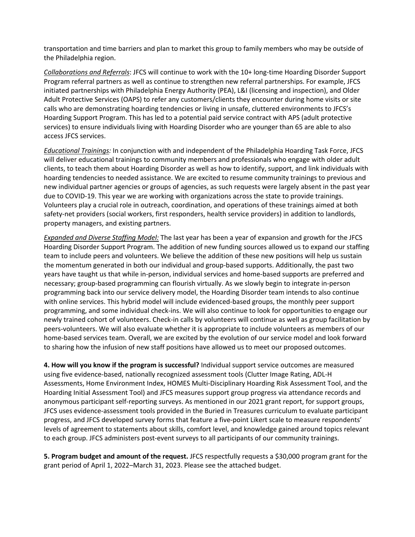transportation and time barriers and plan to market this group to family members who may be outside of the Philadelphia region.

*Collaborations and Referrals*: JFCS will continue to work with the 10+ long-time Hoarding Disorder Support Program referral partners as well as continue to strengthen new referral partnerships. For example, JFCS initiated partnerships with Philadelphia Energy Authority (PEA), L&I (licensing and inspection), and Older Adult Protective Services (OAPS) to refer any customers/clients they encounter during home visits or site calls who are demonstrating hoarding tendencies or living in unsafe, cluttered environments to JFCS's Hoarding Support Program. This has led to a potential paid service contract with APS (adult protective services) to ensure individuals living with Hoarding Disorder who are younger than 65 are able to also access JFCS services.

*Educational Trainings:* In conjunction with and independent of the Philadelphia Hoarding Task Force, JFCS will deliver educational trainings to community members and professionals who engage with older adult clients, to teach them about Hoarding Disorder as well as how to identify, support, and link individuals with hoarding tendencies to needed assistance. We are excited to resume community trainings to previous and new individual partner agencies or groups of agencies, as such requests were largely absent in the past year due to COVID-19. This year we are working with organizations across the state to provide trainings. Volunteers play a crucial role in outreach, coordination, and operations of these trainings aimed at both safety-net providers (social workers, first responders, health service providers) in addition to landlords, property managers, and existing partners.

*Expanded and Diverse Staffing Model:* The last year has been a year of expansion and growth for the JFCS Hoarding Disorder Support Program. The addition of new funding sources allowed us to expand our staffing team to include peers and volunteers. We believe the addition of these new positions will help us sustain the momentum generated in both our individual and group-based supports. Additionally, the past two years have taught us that while in-person, individual services and home-based supports are preferred and necessary; group-based programming can flourish virtually. As we slowly begin to integrate in-person programming back into our service delivery model, the Hoarding Disorder team intends to also continue with online services. This hybrid model will include evidenced-based groups, the monthly peer support programming, and some individual check-ins. We will also continue to look for opportunities to engage our newly trained cohort of volunteers. Check-in calls by volunteers will continue as well as group facilitation by peers-volunteers. We will also evaluate whether it is appropriate to include volunteers as members of our home-based services team. Overall, we are excited by the evolution of our service model and look forward to sharing how the infusion of new staff positions have allowed us to meet our proposed outcomes.

**4. How will you know if the program is successful?** Individual support service outcomes are measured using five evidence-based, nationally recognized assessment tools (Clutter Image Rating, ADL-H Assessments, Home Environment Index, HOMES Multi-Disciplinary Hoarding Risk Assessment Tool, and the Hoarding Initial Assessment Tool) and JFCS measures support group progress via attendance records and anonymous participant self-reporting surveys. As mentioned in our 2021 grant report, for support groups, JFCS uses evidence-assessment tools provided in the Buried in Treasures curriculum to evaluate participant progress, and JFCS developed survey forms that feature a five-point Likert scale to measure respondents' levels of agreement to statements about skills, comfort level, and knowledge gained around topics relevant to each group. JFCS administers post-event surveys to all participants of our community trainings.

**5. Program budget and amount of the request.** JFCS respectfully requests a \$30,000 program grant for the grant period of April 1, 2022–March 31, 2023. Please see the attached budget.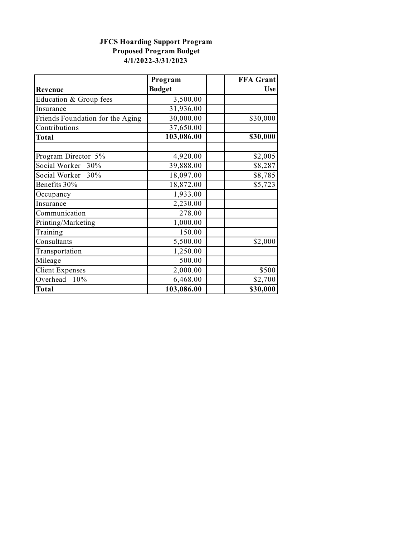## **JFCS Hoarding Support Program Proposed Program Budget 4/1/2022-3/31/2023**

|                                  | Program       | <b>FFA</b> Grant |
|----------------------------------|---------------|------------------|
| Revenue                          | <b>Budget</b> | <b>Use</b>       |
| Education & Group fees           | 3,500.00      |                  |
| Insurance                        | 31,936.00     |                  |
| Friends Foundation for the Aging | 30,000.00     | \$30,000         |
| Contributions                    | 37,650.00     |                  |
| <b>Total</b>                     | 103,086.00    | \$30,000         |
|                                  |               |                  |
| Program Director 5%              | 4,920.00      | \$2,005          |
| Social Worker 30%                | 39,888.00     | \$8,287          |
| Social Worker 30%                | 18,097.00     | \$8,785          |
| Benefits 30%                     | 18,872.00     | \$5,723          |
| Occupancy                        | 1,933.00      |                  |
| Insurance                        | 2,230.00      |                  |
| Communication                    | 278.00        |                  |
| Printing/Marketing               | 1,000.00      |                  |
| Training                         | 150.00        |                  |
| Consultants                      | 5,500.00      | \$2,000          |
| Transportation                   | 1,250.00      |                  |
| Mileage                          | 500.00        |                  |
| <b>Client Expenses</b>           | 2,000.00      | \$500            |
| Overhead 10%                     | 6,468.00      | \$2,700          |
| <b>Total</b>                     | 103,086.00    | \$30,000         |